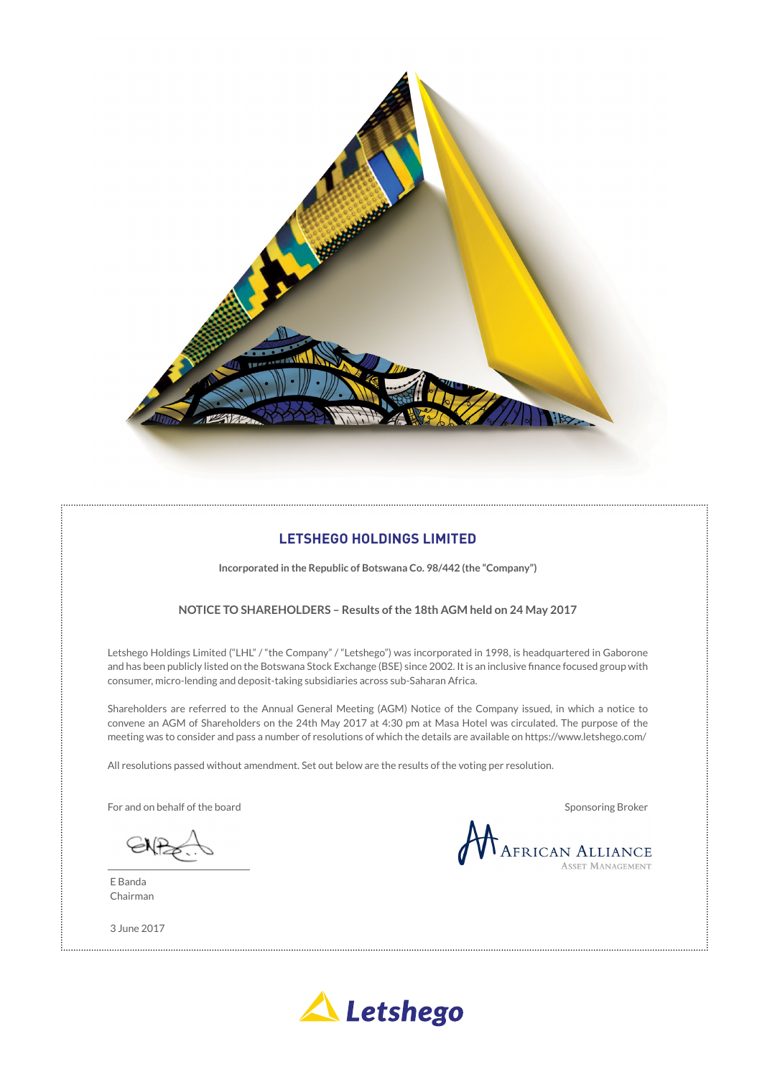

# **LETSHEGO HOLDINGS LIMITED**

**Incorporated in the Republic of Botswana Co. 98/442 (the "Company")**

# **NOTICE TO SHAREHOLDERS – Results of the 18th AGM held on 24 May 2017**

Letshego Holdings Limited ("LHL" / "the Company" / "Letshego") was incorporated in 1998, is headquartered in Gaborone and has been publicly listed on the Botswana Stock Exchange (BSE) since 2002. It is an inclusive finance focused group with consumer, micro-lending and deposit-taking subsidiaries across sub-Saharan Africa.

Shareholders are referred to the Annual General Meeting (AGM) Notice of the Company issued, in which a notice to convene an AGM of Shareholders on the 24th May 2017 at 4:30 pm at Masa Hotel was circulated. The purpose of the meeting was to consider and pass a number of resolutions of which the details are available on https://www.letshego.com/

All resolutions passed without amendment. Set out below are the results of the voting per resolution.

For and on behalf of the board Sponsoring Broker Sponsoring Broker Sponsoring Broker

E Banda Chairman

3 June 2017

African Alliance

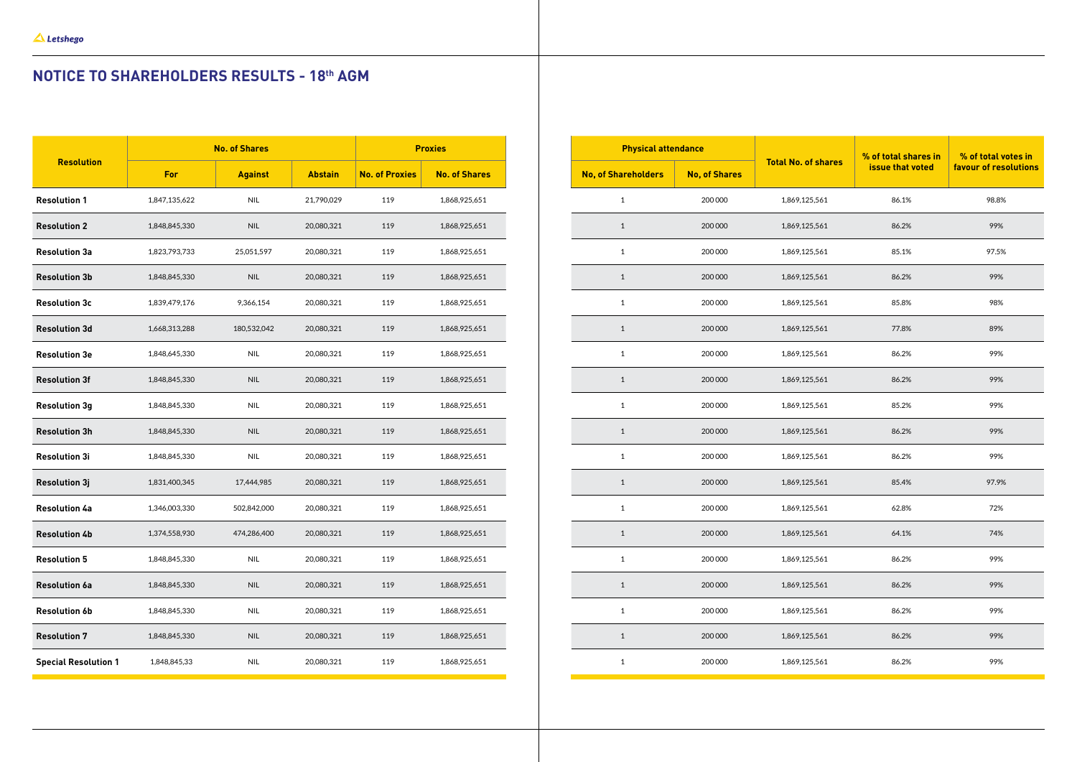# **NOTICE TO SHAREHOLDERS RESULTS - 18th AGM**

|                             | <b>No. of Shares</b> |                             |                | <b>Proxies</b>        |                      |
|-----------------------------|----------------------|-----------------------------|----------------|-----------------------|----------------------|
| <b>Resolution</b>           | For                  | <b>Against</b>              | <b>Abstain</b> | <b>No. of Proxies</b> | <b>No. of Shares</b> |
| <b>Resolution 1</b>         | 1,847,135,622        | <b>NIL</b>                  | 21,790,029     | 119                   | 1,868,925,651        |
| <b>Resolution 2</b>         | 1,848,845,330        | <b>NIL</b>                  | 20,080,321     | 119                   | 1,868,925,651        |
| <b>Resolution 3a</b>        | 1,823,793,733        | 25,051,597                  | 20,080,321     | 119                   | 1,868,925,651        |
| <b>Resolution 3b</b>        | 1,848,845,330        | <b>NIL</b>                  | 20,080,321     | 119                   | 1,868,925,651        |
| <b>Resolution 3c</b>        | 1,839,479,176        | 9,366,154                   | 20,080,321     | 119                   | 1,868,925,651        |
| <b>Resolution 3d</b>        | 1,668,313,288        | 180,532,042                 | 20,080,321     | 119                   | 1,868,925,651        |
| <b>Resolution 3e</b>        | 1,848,645,330        | <b>NIL</b>                  | 20,080,321     | 119                   | 1,868,925,651        |
| <b>Resolution 3f</b>        | 1,848,845,330        | <b>NIL</b>                  | 20,080,321     | 119                   | 1,868,925,651        |
| <b>Resolution 3g</b>        | 1,848,845,330        | <b>NIL</b>                  | 20,080,321     | 119                   | 1,868,925,651        |
| <b>Resolution 3h</b>        | 1,848,845,330        | <b>NIL</b>                  | 20,080,321     | 119                   | 1,868,925,651        |
| <b>Resolution 3i</b>        | 1,848,845,330        | <b>NIL</b>                  | 20,080,321     | 119                   | 1,868,925,651        |
| <b>Resolution 3j</b>        | 1,831,400,345        | 17,444,985                  | 20,080,321     | 119                   | 1,868,925,651        |
| <b>Resolution 4a</b>        | 1,346,003,330        | 502,842,000                 | 20,080,321     | 119                   | 1,868,925,651        |
| <b>Resolution 4b</b>        | 1,374,558,930        | 474,286,400                 | 20,080,321     | 119                   | 1,868,925,651        |
| <b>Resolution 5</b>         | 1,848,845,330        | <b>NIL</b>                  | 20,080,321     | 119                   | 1,868,925,651        |
| <b>Resolution 6a</b>        | 1,848,845,330        | $\ensuremath{\mathsf{NIL}}$ | 20,080,321     | 119                   | 1,868,925,651        |
| <b>Resolution 6b</b>        | 1,848,845,330        | $\ensuremath{\mathsf{NIL}}$ | 20,080,321     | 119                   | 1,868,925,651        |
| <b>Resolution 7</b>         | 1,848,845,330        | $\ensuremath{\mathsf{NIL}}$ | 20,080,321     | 119                   | 1,868,925,651        |
| <b>Special Resolution 1</b> | 1,848,845,33         | <b>NIL</b>                  | 20,080,321     | 119                   | 1,868,925,651        |

| <b>Physical attendance</b> |                     |                      | % of total shares in       | % of total votes in |                       |  |
|----------------------------|---------------------|----------------------|----------------------------|---------------------|-----------------------|--|
|                            | No, of Shareholders | <b>No, of Shares</b> | <b>Total No. of shares</b> | issue that voted    | favour of resolutions |  |
|                            | $\mathbf 1$         | 200 000              | 1,869,125,561              | 86.1%               | 98.8%                 |  |
|                            | $\mathbf 1$         | 200 000              | 1,869,125,561              | 86.2%               | 99%                   |  |
|                            | $\mathbf{1}$        | 200 000              | 1,869,125,561              | 85.1%               | 97.5%                 |  |
|                            | $\mathbf{1}$        | 200 000              | 1,869,125,561              | 86.2%               | 99%                   |  |
|                            | $\mathbf 1$         | 200 000              | 1,869,125,561              | 85.8%               | 98%                   |  |
|                            | $\mathbf{1}$        | 200 000              | 1,869,125,561              | 77.8%               | 89%                   |  |
|                            | $\mathbf 1$         | 200 000              | 1,869,125,561              | 86.2%               | 99%                   |  |
|                            | $\mathbf{1}$        | 200 000              | 1,869,125,561              | 86.2%               | 99%                   |  |
|                            | $\mathbf 1$         | 200 000              | 1,869,125,561              | 85.2%               | 99%                   |  |
|                            | $\mathbf 1$         | 200 000              | 1,869,125,561              | 86.2%               | 99%                   |  |
|                            | $\mathbf 1$         | 200 000              | 1,869,125,561              | 86.2%               | 99%                   |  |
|                            | $\mathbf 1$         | 200 000              | 1,869,125,561              | 85.4%               | 97.9%                 |  |
|                            | $\mathbf 1$         | 200 000              | 1,869,125,561              | 62.8%               | 72%                   |  |
|                            | $\mathbf{1}$        | 200 000              | 1,869,125,561              | 64.1%               | 74%                   |  |
|                            | $\mathbf 1$         | 200 000              | 1,869,125,561              | 86.2%               | 99%                   |  |
|                            | $\,1\,$             | 200 000              | 1,869,125,561              | 86.2%               | 99%                   |  |
|                            | $\mathbf 1$         | 200 000              | 1,869,125,561              | 86.2%               | 99%                   |  |
|                            | $\mathbf 1$         | 200 000              | 1,869,125,561              | 86.2%               | 99%                   |  |
|                            | $\mathbf 1$         | 200 000              | 1,869,125,561              | 86.2%               | 99%                   |  |